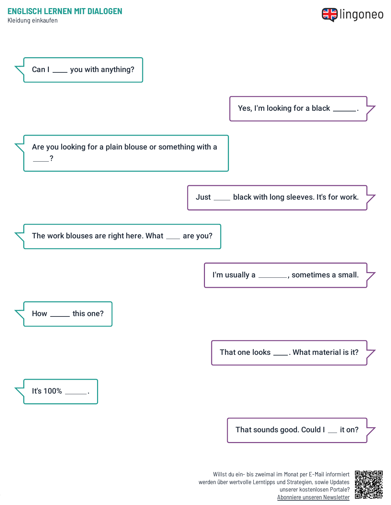**ENGLISCH LERNEN MIT DIALOGEN**

Kleidung einkaufen